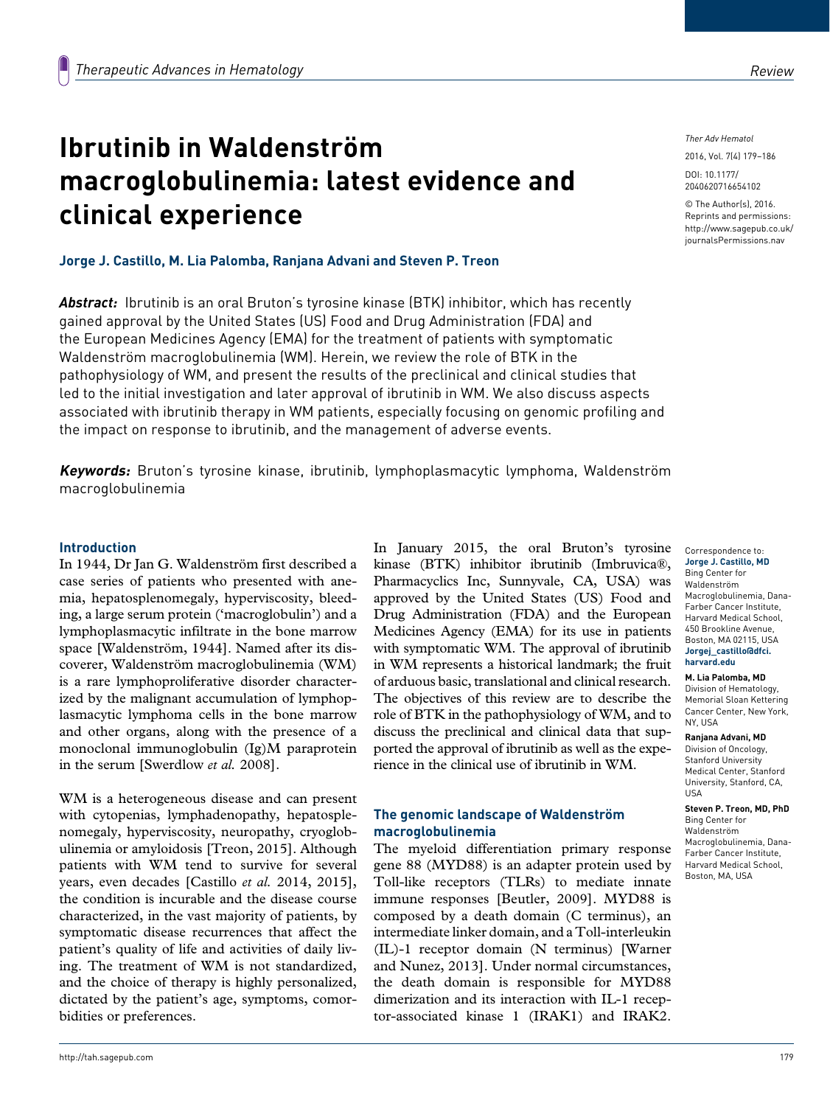# **Ibrutinib in Waldenström macroglobulinemia: latest evidence and clinical experience**

# **Jorge J. Castillo, M. Lia Palomba, Ranjana Advani and Steven P. Treon**

*Abstract:* Ibrutinib is an oral Bruton's tyrosine kinase (BTK) inhibitor, which has recently gained approval by the United States (US) Food and Drug Administration (FDA) and the European Medicines Agency (EMA) for the treatment of patients with symptomatic Waldenström macroglobulinemia (WM). Herein, we review the role of BTK in the pathophysiology of WM, and present the results of the preclinical and clinical studies that led to the initial investigation and later approval of ibrutinib in WM. We also discuss aspects associated with ibrutinib therapy in WM patients, especially focusing on genomic profiling and the impact on response to ibrutinib, and the management of adverse events.

**Keywords:** Bruton's tyrosine kinase, ibrutinib, lymphoplasmacytic lymphoma, Waldenström macroglobulinemia

### **Introduction**

In 1944, Dr Jan G. Waldenström first described a case series of patients who presented with anemia, hepatosplenomegaly, hyperviscosity, bleeding, a large serum protein ('macroglobulin') and a lymphoplasmacytic infiltrate in the bone marrow space [Waldenström, 1944]. Named after its discoverer, Waldenström macroglobulinemia (WM) is a rare lymphoproliferative disorder characterized by the malignant accumulation of lymphoplasmacytic lymphoma cells in the bone marrow and other organs, along with the presence of a monoclonal immunoglobulin (Ig)M paraprotein in the serum [Swerdlow *et al.* 2008].

WM is a heterogeneous disease and can present with cytopenias, lymphadenopathy, hepatosplenomegaly, hyperviscosity, neuropathy, cryoglobulinemia or amyloidosis [Treon, 2015]. Although patients with WM tend to survive for several years, even decades [Castillo *et al.* 2014, 2015], the condition is incurable and the disease course characterized, in the vast majority of patients, by symptomatic disease recurrences that affect the patient's quality of life and activities of daily living. The treatment of WM is not standardized, and the choice of therapy is highly personalized, dictated by the patient's age, symptoms, comorbidities or preferences.

In January 2015, the oral Bruton's tyrosine kinase (BTK) inhibitor ibrutinib (Imbruvica®, Pharmacyclics Inc, Sunnyvale, CA, USA) was approved by the United States (US) Food and Drug Administration (FDA) and the European Medicines Agency (EMA) for its use in patients with symptomatic WM. The approval of ibrutinib in WM represents a historical landmark; the fruit of arduous basic, translational and clinical research. The objectives of this review are to describe the role of BTK in the pathophysiology of WM, and to discuss the preclinical and clinical data that supported the approval of ibrutinib as well as the experience in the clinical use of ibrutinib in WM.

# **The genomic landscape of Waldenström macroglobulinemia**

The myeloid differentiation primary response gene 88 (MYD88) is an adapter protein used by Toll-like receptors (TLRs) to mediate innate immune responses [Beutler, 2009]. MYD88 is composed by a death domain (C terminus), an intermediate linker domain, and a Toll-interleukin (IL)-1 receptor domain (N terminus) [Warner and Nunez, 2013]. Under normal circumstances, the death domain is responsible for MYD88 dimerization and its interaction with IL-1 receptor-associated kinase 1 (IRAK1) and IRAK2.

*Ther Adv Hematol*

2016, Vol. 7(4) 179–186 DOI: 10.1177/

2040620716654102

© The Author(s), 2016. Reprints and permissions: [http://www.sagepub.co.uk/](http://www.sagepub.co.uk/journalsPermissions.nav) [journalsPermissions.nav](http://www.sagepub.co.uk/journalsPermissions.nav)

Correspondence to: **Jorge J. Castillo, MD**

Bing Center for Waldenström Macroglobulinemia, Dana-Farber Cancer Institute, Harvard Medical School, 450 Brookline Avenue, Boston, MA 02115, USA **[Jorgej\\_castillo@dfci.](mailto:Jorgej_castillo@dfci.harvard.edu) [harvard.edu](mailto:Jorgej_castillo@dfci.harvard.edu)**

#### **M. Lia Palomba, MD**

Division of Hematology, Memorial Sloan Kettering Cancer Center, New York, NY, USA

#### **Ranjana Advani, MD**

Division of Oncology, Stanford University Medical Center, Stanford University, Stanford, CA, USA

**Steven P. Treon, MD, PhD** Bing Center for Waldenström Macroglobulinemia, Dana-Farber Cancer Institute, Harvard Medical School, Boston, MA, USA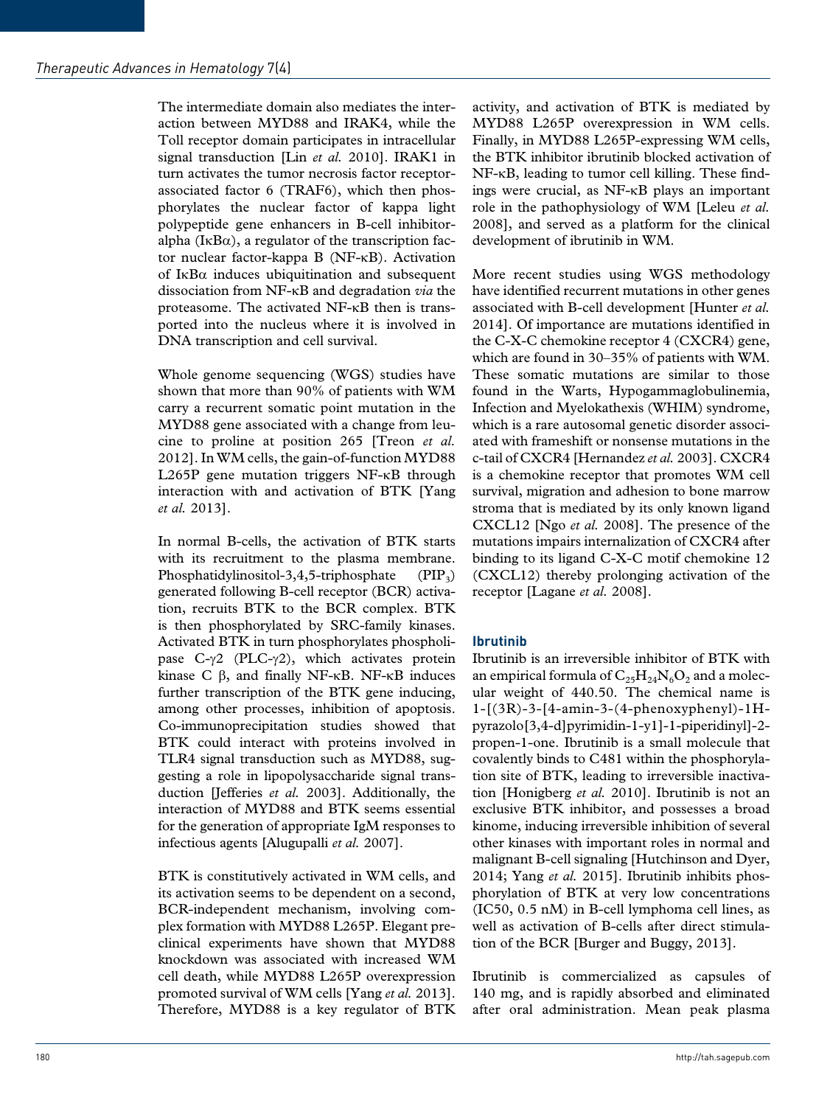The intermediate domain also mediates the interaction between MYD88 and IRAK4, while the Toll receptor domain participates in intracellular signal transduction [Lin *et al.* 2010]. IRAK1 in turn activates the tumor necrosis factor receptorassociated factor 6 (TRAF6), which then phosphorylates the nuclear factor of kappa light polypeptide gene enhancers in B-cell inhibitoralpha ( $I \kappa B\alpha$ ), a regulator of the transcription factor nuclear factor-kappa B (NF-κB). Activation of IκBα induces ubiquitination and subsequent dissociation from NF-κB and degradation *via* the proteasome. The activated NF-κB then is transported into the nucleus where it is involved in DNA transcription and cell survival.

Whole genome sequencing (WGS) studies have shown that more than 90% of patients with WM carry a recurrent somatic point mutation in the MYD88 gene associated with a change from leucine to proline at position 265 [Treon *et al.* 2012]. In WM cells, the gain-of-function MYD88 L265P gene mutation triggers NF-κB through interaction with and activation of BTK [Yang *et al.* 2013].

In normal B-cells, the activation of BTK starts with its recruitment to the plasma membrane. Phosphatidylinositol-3,4,5-triphosphate  $(PIP_3)$ generated following B-cell receptor (BCR) activation, recruits BTK to the BCR complex. BTK is then phosphorylated by SRC-family kinases. Activated BTK in turn phosphorylates phospholipase C-γ2 (PLC-γ2), which activates protein kinase C  $β$ , and finally NF-κB. NF-κB induces further transcription of the BTK gene inducing, among other processes, inhibition of apoptosis. Co-immunoprecipitation studies showed that BTK could interact with proteins involved in TLR4 signal transduction such as MYD88, suggesting a role in lipopolysaccharide signal transduction [Jefferies *et al.* 2003]. Additionally, the interaction of MYD88 and BTK seems essential for the generation of appropriate IgM responses to infectious agents [Alugupalli *et al.* 2007].

BTK is constitutively activated in WM cells, and its activation seems to be dependent on a second, BCR-independent mechanism, involving complex formation with MYD88 L265P. Elegant preclinical experiments have shown that MYD88 knockdown was associated with increased WM cell death, while MYD88 L265P overexpression promoted survival of WM cells [Yang *et al.* 2013]. Therefore, MYD88 is a key regulator of BTK

activity, and activation of BTK is mediated by MYD88 L265P overexpression in WM cells. Finally, in MYD88 L265P-expressing WM cells, the BTK inhibitor ibrutinib blocked activation of NF-κB, leading to tumor cell killing. These findings were crucial, as NF-κB plays an important role in the pathophysiology of WM [Leleu *et al.* 2008], and served as a platform for the clinical development of ibrutinib in WM.

More recent studies using WGS methodology have identified recurrent mutations in other genes associated with B-cell development [Hunter *et al.* 2014]. Of importance are mutations identified in the C-X-C chemokine receptor 4 (CXCR4) gene, which are found in 30–35% of patients with WM. These somatic mutations are similar to those found in the Warts, Hypogammaglobulinemia, Infection and Myelokathexis (WHIM) syndrome, which is a rare autosomal genetic disorder associated with frameshift or nonsense mutations in the c-tail of CXCR4 [Hernandez *et al.* 2003]. CXCR4 is a chemokine receptor that promotes WM cell survival, migration and adhesion to bone marrow stroma that is mediated by its only known ligand CXCL12 [Ngo *et al.* 2008]. The presence of the mutations impairs internalization of CXCR4 after binding to its ligand C-X-C motif chemokine 12 (CXCL12) thereby prolonging activation of the receptor [Lagane *et al.* 2008].

# **Ibrutinib**

Ibrutinib is an irreversible inhibitor of BTK with an empirical formula of  $C_{25}H_{24}N_6O_2$  and a molecular weight of 440.50. The chemical name is 1-[(3R)-3-[4-amin-3-(4-phenoxyphenyl)-1Hpyrazolo[3,4-d]pyrimidin-1-y1]-1-piperidinyl]-2 propen-1-one. Ibrutinib is a small molecule that covalently binds to C481 within the phosphorylation site of BTK, leading to irreversible inactivation [Honigberg *et al.* 2010]. Ibrutinib is not an exclusive BTK inhibitor, and possesses a broad kinome, inducing irreversible inhibition of several other kinases with important roles in normal and malignant B-cell signaling [Hutchinson and Dyer, 2014; Yang *et al.* 2015]. Ibrutinib inhibits phosphorylation of BTK at very low concentrations (IC50, 0.5 nM) in B-cell lymphoma cell lines, as well as activation of B-cells after direct stimulation of the BCR [Burger and Buggy, 2013].

Ibrutinib is commercialized as capsules of 140 mg, and is rapidly absorbed and eliminated after oral administration. Mean peak plasma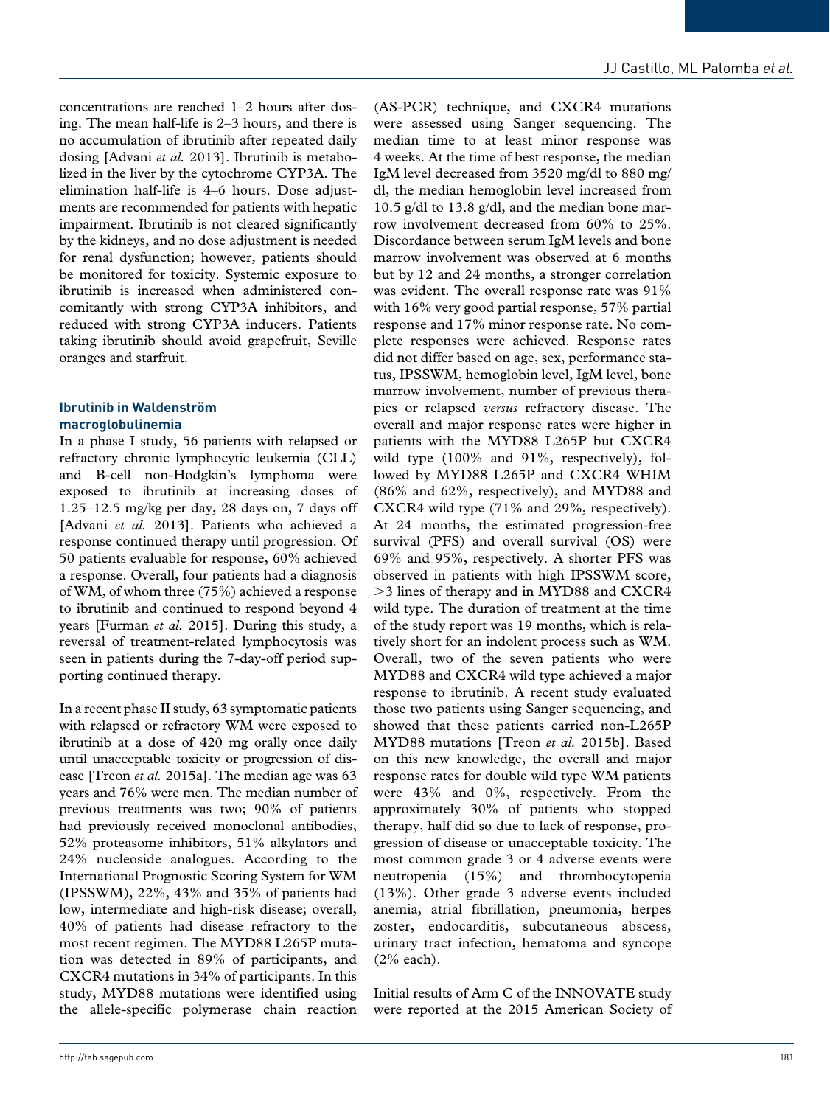concentrations are reached 1–2 hours after dosing. The mean half-life is 2–3 hours, and there is no accumulation of ibrutinib after repeated daily dosing [Advani *et al.* 2013]. Ibrutinib is metabolized in the liver by the cytochrome CYP3A. The elimination half-life is 4–6 hours. Dose adjustments are recommended for patients with hepatic impairment. Ibrutinib is not cleared significantly by the kidneys, and no dose adjustment is needed for renal dysfunction; however, patients should be monitored for toxicity. Systemic exposure to ibrutinib is increased when administered concomitantly with strong CYP3A inhibitors, and reduced with strong CYP3A inducers. Patients taking ibrutinib should avoid grapefruit, Seville oranges and starfruit.

# **Ibrutinib in Waldenström macroglobulinemia**

In a phase I study, 56 patients with relapsed or refractory chronic lymphocytic leukemia (CLL) and B-cell non-Hodgkin's lymphoma were exposed to ibrutinib at increasing doses of 1.25–12.5 mg/kg per day, 28 days on, 7 days off [Advani *et al.* 2013]. Patients who achieved a response continued therapy until progression. Of 50 patients evaluable for response, 60% achieved a response. Overall, four patients had a diagnosis of WM, of whom three (75%) achieved a response to ibrutinib and continued to respond beyond 4 years [Furman *et al.* 2015]. During this study, a reversal of treatment-related lymphocytosis was seen in patients during the 7-day-off period supporting continued therapy.

In a recent phase II study, 63 symptomatic patients with relapsed or refractory WM were exposed to ibrutinib at a dose of 420 mg orally once daily until unacceptable toxicity or progression of disease [Treon *et al.* 2015a]. The median age was 63 years and 76% were men. The median number of previous treatments was two; 90% of patients had previously received monoclonal antibodies, 52% proteasome inhibitors, 51% alkylators and 24% nucleoside analogues. According to the International Prognostic Scoring System for WM (IPSSWM), 22%, 43% and 35% of patients had low, intermediate and high-risk disease; overall, 40% of patients had disease refractory to the most recent regimen. The MYD88 L265P mutation was detected in 89% of participants, and CXCR4 mutations in 34% of participants. In this study, MYD88 mutations were identified using the allele-specific polymerase chain reaction

(AS-PCR) technique, and CXCR4 mutations were assessed using Sanger sequencing. The median time to at least minor response was 4 weeks. At the time of best response, the median IgM level decreased from 3520 mg/dl to 880 mg/ dl, the median hemoglobin level increased from 10.5 g/dl to 13.8 g/dl, and the median bone marrow involvement decreased from 60% to 25%. Discordance between serum IgM levels and bone marrow involvement was observed at 6 months but by 12 and 24 months, a stronger correlation was evident. The overall response rate was 91% with 16% very good partial response, 57% partial response and 17% minor response rate. No complete responses were achieved. Response rates did not differ based on age, sex, performance status, IPSSWM, hemoglobin level, IgM level, bone marrow involvement, number of previous therapies or relapsed *versus* refractory disease. The overall and major response rates were higher in patients with the MYD88 L265P but CXCR4 wild type (100% and 91%, respectively), followed by MYD88 L265P and CXCR4 WHIM (86% and 62%, respectively), and MYD88 and CXCR4 wild type (71% and 29%, respectively). At 24 months, the estimated progression-free survival (PFS) and overall survival (OS) were 69% and 95%, respectively. A shorter PFS was observed in patients with high IPSSWM score, >3 lines of therapy and in MYD88 and CXCR4 wild type. The duration of treatment at the time of the study report was 19 months, which is relatively short for an indolent process such as WM. Overall, two of the seven patients who were MYD88 and CXCR4 wild type achieved a major response to ibrutinib. A recent study evaluated those two patients using Sanger sequencing, and showed that these patients carried non-L265P MYD88 mutations [Treon *et al.* 2015b]. Based on this new knowledge, the overall and major response rates for double wild type WM patients were 43% and 0%, respectively. From the approximately 30% of patients who stopped therapy, half did so due to lack of response, progression of disease or unacceptable toxicity. The most common grade 3 or 4 adverse events were neutropenia (15%) and thrombocytopenia (13%). Other grade 3 adverse events included anemia, atrial fibrillation, pneumonia, herpes zoster, endocarditis, subcutaneous abscess, urinary tract infection, hematoma and syncope (2% each).

Initial results of Arm C of the INNOVATE study were reported at the 2015 American Society of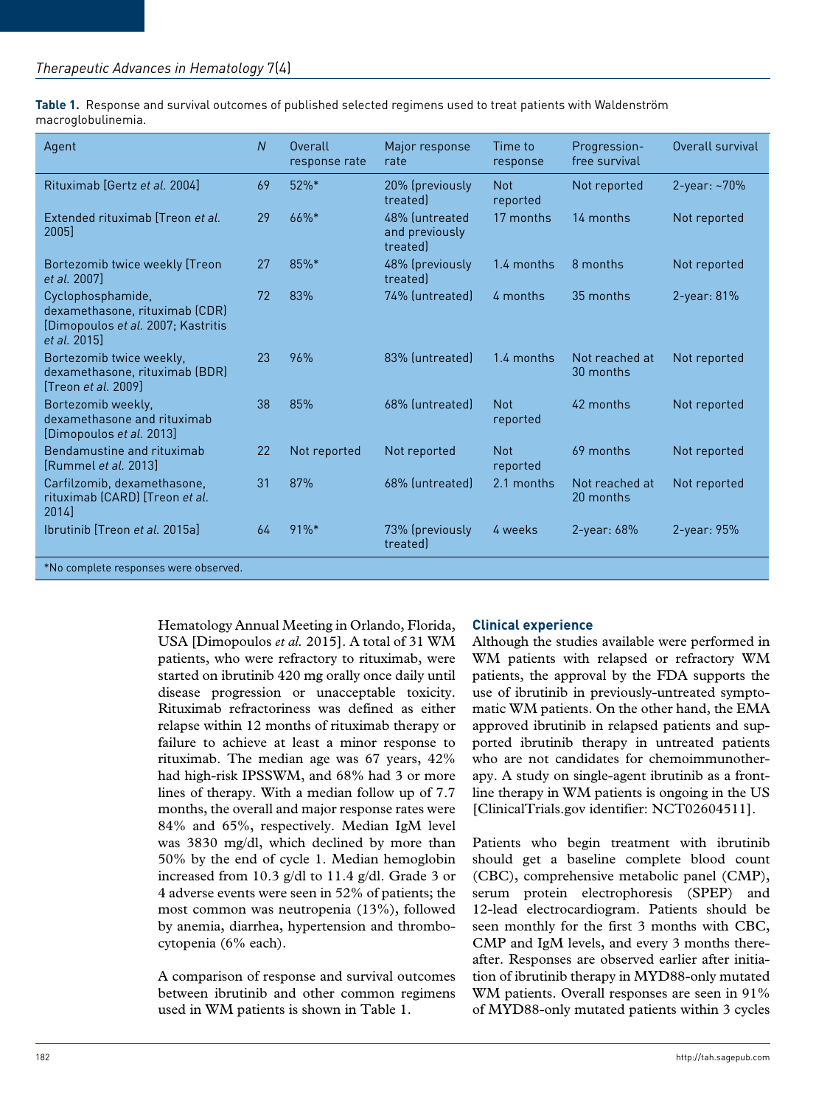**Table 1.** Response and survival outcomes of published selected regimens used to treat patients with Waldenström macroglobulinemia.

| Agent                                                                                                     | $\overline{N}$ | Overall<br>response rate | Major response<br>rate                      | Time to<br>response    | Progression-<br>free survival | Overall survival  |
|-----------------------------------------------------------------------------------------------------------|----------------|--------------------------|---------------------------------------------|------------------------|-------------------------------|-------------------|
| Rituximab [Gertz et al. 2004]                                                                             | 69             | $52\%$ *                 | 20% (previously<br>treated                  | <b>Not</b><br>reported | Not reported                  | $2$ -year: $-70%$ |
| Extended rituximab Treon et al.<br>2005                                                                   | 29             | 66%*                     | 48% luntreated<br>and previously<br>treated | 17 months              | 14 months                     | Not reported      |
| Bortezomib twice weekly [Treon<br>et al. 2007]                                                            | 27             | 85%*                     | 48% (previously<br>treated                  | 1.4 months             | 8 months                      | Not reported      |
| Cyclophosphamide,<br>dexamethasone, rituximab (CDR)<br>[Dimopoulos et al. 2007; Kastritis<br>et al. 2015] | 72             | 83%                      | 74% (untreated)                             | 4 months               | 35 months                     | $2$ -year: 81%    |
| Bortezomib twice weekly,<br>dexamethasone, rituximab (BDR)<br>[Treon et al. 2009]                         | 23             | 96%                      | 83% (untreated)                             | 1.4 months             | Not reached at<br>30 months   | Not reported      |
| Bortezomib weekly.<br>dexamethasone and rituximab<br>[Dimopoulos et al. 2013]                             | 38             | 85%                      | 68% (untreated)                             | <b>Not</b><br>reported | 42 months                     | Not reported      |
| Bendamustine and rituximab<br>[Rummel <i>et al.</i> 2013]                                                 | 22             | Not reported             | Not reported                                | <b>Not</b><br>reported | 69 months                     | Not reported      |
| Carfilzomib, dexamethasone,<br>rituximab (CARD) [Treon et al.<br>2014                                     | 31             | 87%                      | 68% (untreated)                             | 2.1 months             | Not reached at<br>20 months   | Not reported      |
| Ibrutinib Treon et al. 2015al                                                                             | 64             | 91%*                     | 73% (previously<br>treated                  | 4 weeks                | $2$ -year: $68%$              | $2$ -year: 95%    |
| *No complete responses were observed.                                                                     |                |                          |                                             |                        |                               |                   |

Hematology Annual Meeting in Orlando, Florida, USA [Dimopoulos *et al.* 2015]. A total of 31 WM patients, who were refractory to rituximab, were started on ibrutinib 420 mg orally once daily until disease progression or unacceptable toxicity. Rituximab refractoriness was defined as either relapse within 12 months of rituximab therapy or failure to achieve at least a minor response to rituximab. The median age was 67 years, 42% had high-risk IPSSWM, and 68% had 3 or more lines of therapy. With a median follow up of 7.7 months, the overall and major response rates were 84% and 65%, respectively. Median IgM level was 3830 mg/dl, which declined by more than 50% by the end of cycle 1. Median hemoglobin increased from 10.3 g/dl to 11.4 g/dl. Grade 3 or 4 adverse events were seen in 52% of patients; the most common was neutropenia (13%), followed by anemia, diarrhea, hypertension and thrombocytopenia (6% each).

A comparison of response and survival outcomes between ibrutinib and other common regimens used in WM patients is shown in Table 1.

## **Clinical experience**

Although the studies available were performed in WM patients with relapsed or refractory WM patients, the approval by the FDA supports the use of ibrutinib in previously-untreated symptomatic WM patients. On the other hand, the EMA approved ibrutinib in relapsed patients and supported ibrutinib therapy in untreated patients who are not candidates for chemoimmunotherapy. A study on single-agent ibrutinib as a frontline therapy in WM patients is ongoing in the US [ClinicalTrials.gov identifier: NCT02604511].

Patients who begin treatment with ibrutinib should get a baseline complete blood count (CBC), comprehensive metabolic panel (CMP), serum protein electrophoresis (SPEP) and 12-lead electrocardiogram. Patients should be seen monthly for the first 3 months with CBC, CMP and IgM levels, and every 3 months thereafter. Responses are observed earlier after initiation of ibrutinib therapy in MYD88-only mutated WM patients. Overall responses are seen in 91% of MYD88-only mutated patients within 3 cycles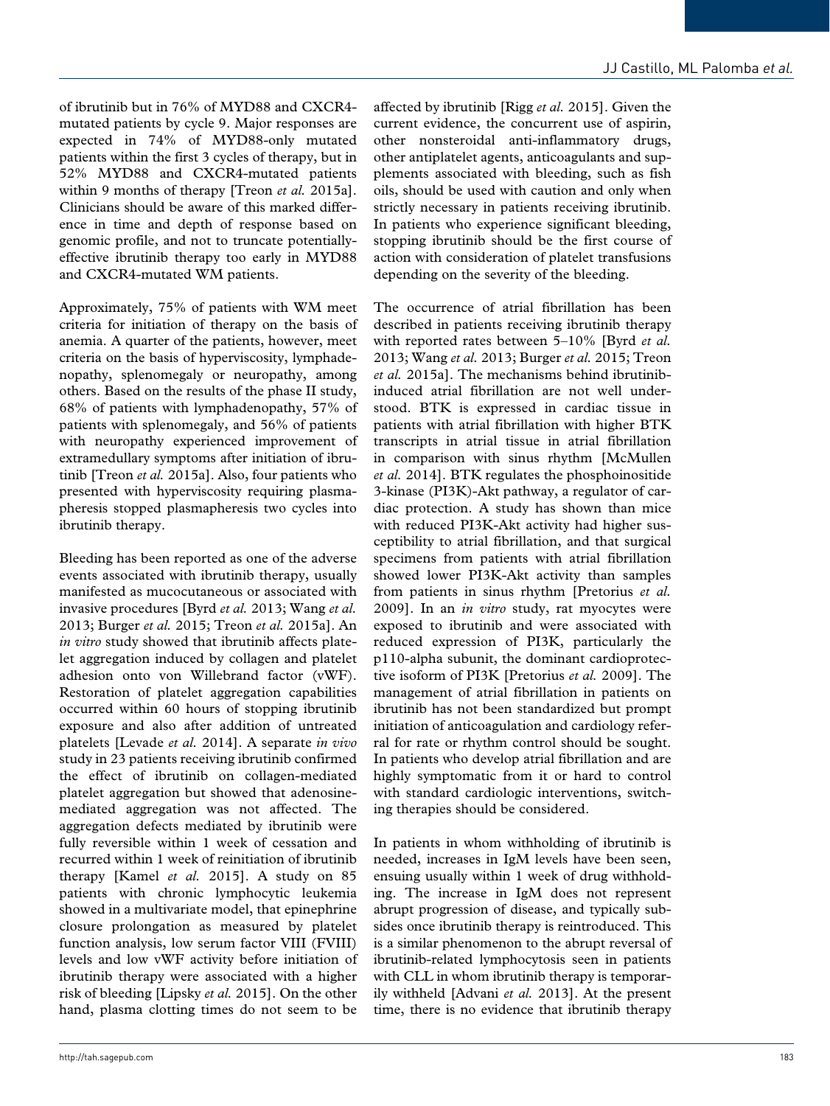of ibrutinib but in 76% of MYD88 and CXCR4 mutated patients by cycle 9. Major responses are expected in 74% of MYD88-only mutated patients within the first 3 cycles of therapy, but in 52% MYD88 and CXCR4-mutated patients within 9 months of therapy [Treon *et al.* 2015a]. Clinicians should be aware of this marked difference in time and depth of response based on genomic profile, and not to truncate potentiallyeffective ibrutinib therapy too early in MYD88 and CXCR4-mutated WM patients.

Approximately, 75% of patients with WM meet criteria for initiation of therapy on the basis of anemia. A quarter of the patients, however, meet criteria on the basis of hyperviscosity, lymphadenopathy, splenomegaly or neuropathy, among others. Based on the results of the phase II study, 68% of patients with lymphadenopathy, 57% of patients with splenomegaly, and 56% of patients with neuropathy experienced improvement of extramedullary symptoms after initiation of ibrutinib [Treon *et al.* 2015a]. Also, four patients who presented with hyperviscosity requiring plasmapheresis stopped plasmapheresis two cycles into ibrutinib therapy.

Bleeding has been reported as one of the adverse events associated with ibrutinib therapy, usually manifested as mucocutaneous or associated with invasive procedures [Byrd *et al.* 2013; Wang *et al.* 2013; Burger *et al.* 2015; Treon *et al.* 2015a]. An *in vitro* study showed that ibrutinib affects platelet aggregation induced by collagen and platelet adhesion onto von Willebrand factor (vWF). Restoration of platelet aggregation capabilities occurred within 60 hours of stopping ibrutinib exposure and also after addition of untreated platelets [Levade *et al.* 2014]. A separate *in vivo* study in 23 patients receiving ibrutinib confirmed the effect of ibrutinib on collagen-mediated platelet aggregation but showed that adenosinemediated aggregation was not affected. The aggregation defects mediated by ibrutinib were fully reversible within 1 week of cessation and recurred within 1 week of reinitiation of ibrutinib therapy [Kamel *et al.* 2015]. A study on 85 patients with chronic lymphocytic leukemia showed in a multivariate model, that epinephrine closure prolongation as measured by platelet function analysis, low serum factor VIII (FVIII) levels and low vWF activity before initiation of ibrutinib therapy were associated with a higher risk of bleeding [Lipsky *et al.* 2015]. On the other hand, plasma clotting times do not seem to be affected by ibrutinib [Rigg *et al.* 2015]. Given the current evidence, the concurrent use of aspirin, other nonsteroidal anti-inflammatory drugs, other antiplatelet agents, anticoagulants and supplements associated with bleeding, such as fish oils, should be used with caution and only when strictly necessary in patients receiving ibrutinib. In patients who experience significant bleeding, stopping ibrutinib should be the first course of action with consideration of platelet transfusions depending on the severity of the bleeding.

The occurrence of atrial fibrillation has been described in patients receiving ibrutinib therapy with reported rates between 5–10% [Byrd *et al.* 2013; Wang *et al.* 2013; Burger *et al.* 2015; Treon *et al.* 2015a]. The mechanisms behind ibrutinibinduced atrial fibrillation are not well understood. BTK is expressed in cardiac tissue in patients with atrial fibrillation with higher BTK transcripts in atrial tissue in atrial fibrillation in comparison with sinus rhythm [McMullen *et al.* 2014]. BTK regulates the phosphoinositide 3-kinase (PI3K)-Akt pathway, a regulator of cardiac protection. A study has shown than mice with reduced PI3K-Akt activity had higher susceptibility to atrial fibrillation, and that surgical specimens from patients with atrial fibrillation showed lower PI3K-Akt activity than samples from patients in sinus rhythm [Pretorius *et al.* 2009]. In an *in vitro* study, rat myocytes were exposed to ibrutinib and were associated with reduced expression of PI3K, particularly the p110-alpha subunit, the dominant cardioprotective isoform of PI3K [Pretorius *et al.* 2009]. The management of atrial fibrillation in patients on ibrutinib has not been standardized but prompt initiation of anticoagulation and cardiology referral for rate or rhythm control should be sought. In patients who develop atrial fibrillation and are highly symptomatic from it or hard to control with standard cardiologic interventions, switching therapies should be considered.

In patients in whom withholding of ibrutinib is needed, increases in IgM levels have been seen, ensuing usually within 1 week of drug withholding. The increase in IgM does not represent abrupt progression of disease, and typically subsides once ibrutinib therapy is reintroduced. This is a similar phenomenon to the abrupt reversal of ibrutinib-related lymphocytosis seen in patients with CLL in whom ibrutinib therapy is temporarily withheld [Advani *et al.* 2013]. At the present time, there is no evidence that ibrutinib therapy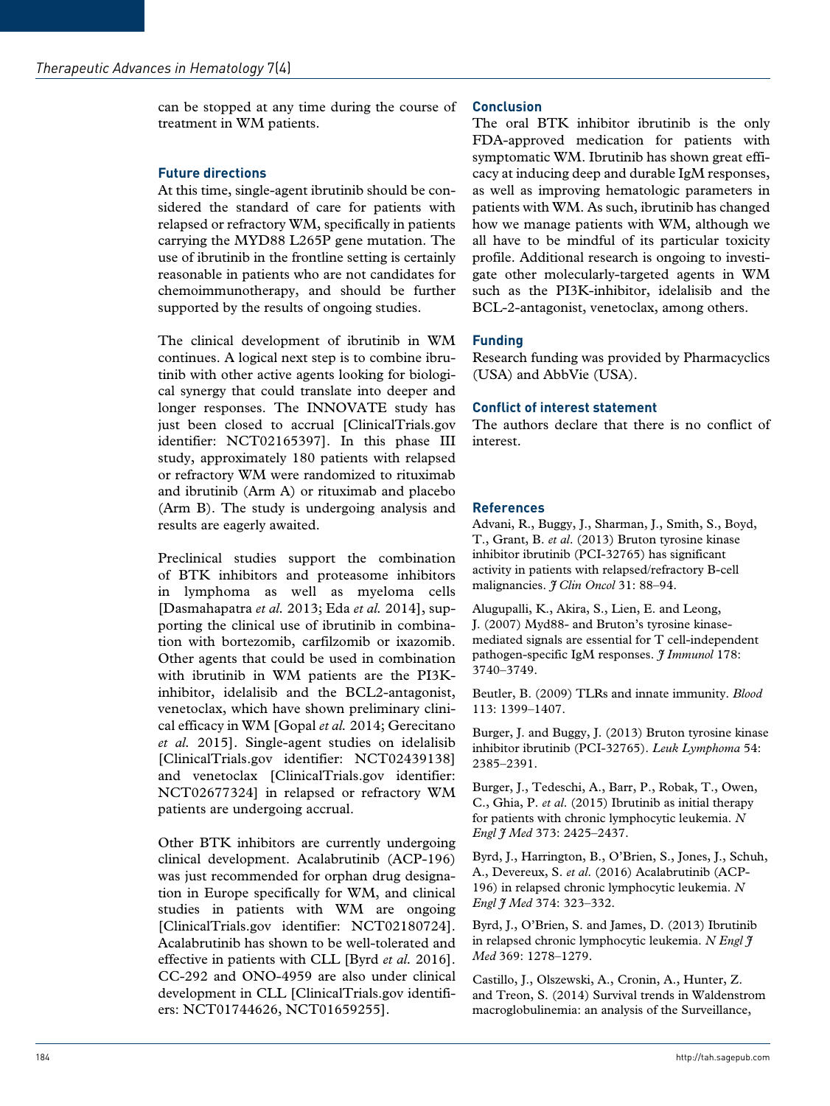can be stopped at any time during the course of treatment in WM patients.

# **Future directions**

At this time, single-agent ibrutinib should be considered the standard of care for patients with relapsed or refractory WM, specifically in patients carrying the MYD88 L265P gene mutation. The use of ibrutinib in the frontline setting is certainly reasonable in patients who are not candidates for chemoimmunotherapy, and should be further supported by the results of ongoing studies.

The clinical development of ibrutinib in WM continues. A logical next step is to combine ibrutinib with other active agents looking for biological synergy that could translate into deeper and longer responses. The INNOVATE study has just been closed to accrual [ClinicalTrials.gov identifier: NCT02165397]. In this phase III study, approximately 180 patients with relapsed or refractory WM were randomized to rituximab and ibrutinib (Arm A) or rituximab and placebo (Arm B). The study is undergoing analysis and results are eagerly awaited.

Preclinical studies support the combination of BTK inhibitors and proteasome inhibitors in lymphoma as well as myeloma cells [Dasmahapatra *et al.* 2013; Eda *et al.* 2014], supporting the clinical use of ibrutinib in combination with bortezomib, carfilzomib or ixazomib. Other agents that could be used in combination with ibrutinib in WM patients are the PI3Kinhibitor, idelalisib and the BCL2-antagonist, venetoclax, which have shown preliminary clinical efficacy in WM [Gopal *et al.* 2014; Gerecitano *et al.* 2015]. Single-agent studies on idelalisib [ClinicalTrials.gov identifier: NCT02439138] and venetoclax [ClinicalTrials.gov identifier: NCT02677324] in relapsed or refractory WM patients are undergoing accrual.

Other BTK inhibitors are currently undergoing clinical development. Acalabrutinib (ACP-196) was just recommended for orphan drug designation in Europe specifically for WM, and clinical studies in patients with WM are ongoing [ClinicalTrials.gov identifier: NCT02180724]. Acalabrutinib has shown to be well-tolerated and effective in patients with CLL [Byrd *et al.* 2016]. CC-292 and ONO-4959 are also under clinical development in CLL [ClinicalTrials.gov identifiers: NCT01744626, NCT01659255].

# **Conclusion**

The oral BTK inhibitor ibrutinib is the only FDA-approved medication for patients with symptomatic WM. Ibrutinib has shown great efficacy at inducing deep and durable IgM responses, as well as improving hematologic parameters in patients with WM. As such, ibrutinib has changed how we manage patients with WM, although we all have to be mindful of its particular toxicity profile. Additional research is ongoing to investigate other molecularly-targeted agents in WM such as the PI3K-inhibitor, idelalisib and the BCL-2-antagonist, venetoclax, among others.

# **Funding**

Research funding was provided by Pharmacyclics (USA) and AbbVie (USA).

## **Conflict of interest statement**

The authors declare that there is no conflict of interest.

# **References**

Advani, R., Buggy, J., Sharman, J., Smith, S., Boyd, T., Grant, B. *et al*. (2013) Bruton tyrosine kinase inhibitor ibrutinib (PCI-32765) has significant activity in patients with relapsed/refractory B-cell malignancies. *J Clin Oncol* 31: 88–94.

Alugupalli, K., Akira, S., Lien, E. and Leong, J. (2007) Myd88- and Bruton's tyrosine kinasemediated signals are essential for T cell-independent pathogen-specific IgM responses. *J Immunol* 178: 3740–3749.

Beutler, B. (2009) TLRs and innate immunity. *Blood* 113: 1399–1407.

Burger, J. and Buggy, J. (2013) Bruton tyrosine kinase inhibitor ibrutinib (PCI-32765). *Leuk Lymphoma* 54: 2385–2391.

Burger, J., Tedeschi, A., Barr, P., Robak, T., Owen, C., Ghia, P. *et al*. (2015) Ibrutinib as initial therapy for patients with chronic lymphocytic leukemia. *N Engl J Med* 373: 2425–2437.

Byrd, J., Harrington, B., O'Brien, S., Jones, J., Schuh, A., Devereux, S. *et al*. (2016) Acalabrutinib (ACP-196) in relapsed chronic lymphocytic leukemia. *N Engl J Med* 374: 323–332.

Byrd, J., O'Brien, S. and James, D. (2013) Ibrutinib in relapsed chronic lymphocytic leukemia. *N Engl J Med* 369: 1278–1279.

Castillo, J., Olszewski, A., Cronin, A., Hunter, Z. and Treon, S. (2014) Survival trends in Waldenstrom macroglobulinemia: an analysis of the Surveillance,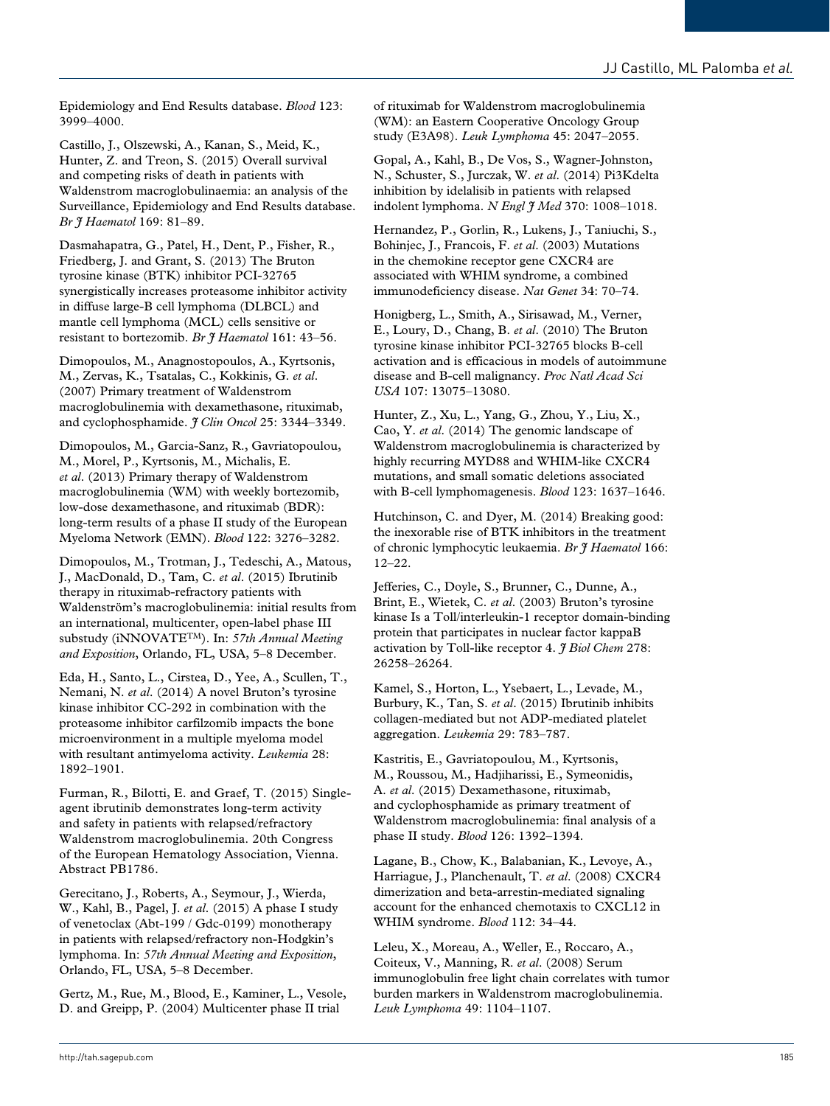Epidemiology and End Results database. *Blood* 123: 3999–4000.

Castillo, J., Olszewski, A., Kanan, S., Meid, K., Hunter, Z. and Treon, S. (2015) Overall survival and competing risks of death in patients with Waldenstrom macroglobulinaemia: an analysis of the Surveillance, Epidemiology and End Results database. *Br J Haematol* 169: 81–89.

Dasmahapatra, G., Patel, H., Dent, P., Fisher, R., Friedberg, J. and Grant, S. (2013) The Bruton tyrosine kinase (BTK) inhibitor PCI-32765 synergistically increases proteasome inhibitor activity in diffuse large-B cell lymphoma (DLBCL) and mantle cell lymphoma (MCL) cells sensitive or resistant to bortezomib. *Br J Haematol* 161: 43–56.

Dimopoulos, M., Anagnostopoulos, A., Kyrtsonis, M., Zervas, K., Tsatalas, C., Kokkinis, G. *et al*. (2007) Primary treatment of Waldenstrom macroglobulinemia with dexamethasone, rituximab, and cyclophosphamide. *J Clin Oncol* 25: 3344–3349.

Dimopoulos, M., Garcia-Sanz, R., Gavriatopoulou, M., Morel, P., Kyrtsonis, M., Michalis, E. *et al*. (2013) Primary therapy of Waldenstrom macroglobulinemia (WM) with weekly bortezomib, low-dose dexamethasone, and rituximab (BDR): long-term results of a phase II study of the European Myeloma Network (EMN). *Blood* 122: 3276–3282.

Dimopoulos, M., Trotman, J., Tedeschi, A., Matous, J., MacDonald, D., Tam, C. *et al*. (2015) Ibrutinib therapy in rituximab-refractory patients with Waldenström's macroglobulinemia: initial results from an international, multicenter, open-label phase III substudy (iNNOVATETM). In: *57th Annual Meeting and Exposition*, Orlando, FL, USA, 5–8 December.

Eda, H., Santo, L., Cirstea, D., Yee, A., Scullen, T., Nemani, N. *et al*. (2014) A novel Bruton's tyrosine kinase inhibitor CC-292 in combination with the proteasome inhibitor carfilzomib impacts the bone microenvironment in a multiple myeloma model with resultant antimyeloma activity. *Leukemia* 28: 1892–1901.

Furman, R., Bilotti, E. and Graef, T. (2015) Singleagent ibrutinib demonstrates long-term activity and safety in patients with relapsed/refractory Waldenstrom macroglobulinemia. 20th Congress of the European Hematology Association, Vienna. Abstract PB1786.

Gerecitano, J., Roberts, A., Seymour, J., Wierda, W., Kahl, B., Pagel, J. *et al*. (2015) A phase I study of venetoclax (Abt-199 / Gdc-0199) monotherapy in patients with relapsed/refractory non-Hodgkin's lymphoma. In: *57th Annual Meeting and Exposition*, Orlando, FL, USA, 5–8 December.

Gertz, M., Rue, M., Blood, E., Kaminer, L., Vesole, D. and Greipp, P. (2004) Multicenter phase II trial

of rituximab for Waldenstrom macroglobulinemia (WM): an Eastern Cooperative Oncology Group study (E3A98). *Leuk Lymphoma* 45: 2047–2055.

Gopal, A., Kahl, B., De Vos, S., Wagner-Johnston, N., Schuster, S., Jurczak, W. *et al*. (2014) Pi3Kdelta inhibition by idelalisib in patients with relapsed indolent lymphoma. *N Engl I Med* 370: 1008-1018.

Hernandez, P., Gorlin, R., Lukens, J., Taniuchi, S., Bohinjec, J., Francois, F. *et al*. (2003) Mutations in the chemokine receptor gene CXCR4 are associated with WHIM syndrome, a combined immunodeficiency disease. *Nat Genet* 34: 70–74.

Honigberg, L., Smith, A., Sirisawad, M., Verner, E., Loury, D., Chang, B. *et al*. (2010) The Bruton tyrosine kinase inhibitor PCI-32765 blocks B-cell activation and is efficacious in models of autoimmune disease and B-cell malignancy. *Proc Natl Acad Sci USA* 107: 13075–13080.

Hunter, Z., Xu, L., Yang, G., Zhou, Y., Liu, X., Cao, Y. *et al*. (2014) The genomic landscape of Waldenstrom macroglobulinemia is characterized by highly recurring MYD88 and WHIM-like CXCR4 mutations, and small somatic deletions associated with B-cell lymphomagenesis. *Blood* 123: 1637–1646.

Hutchinson, C. and Dyer, M. (2014) Breaking good: the inexorable rise of BTK inhibitors in the treatment of chronic lymphocytic leukaemia. *Br J Haematol* 166: 12–22.

Jefferies, C., Doyle, S., Brunner, C., Dunne, A., Brint, E., Wietek, C. *et al*. (2003) Bruton's tyrosine kinase Is a Toll/interleukin-1 receptor domain-binding protein that participates in nuclear factor kappaB activation by Toll-like receptor 4. *J Biol Chem* 278: 26258–26264.

Kamel, S., Horton, L., Ysebaert, L., Levade, M., Burbury, K., Tan, S. *et al*. (2015) Ibrutinib inhibits collagen-mediated but not ADP-mediated platelet aggregation. *Leukemia* 29: 783–787.

Kastritis, E., Gavriatopoulou, M., Kyrtsonis, M., Roussou, M., Hadjiharissi, E., Symeonidis, A. *et al*. (2015) Dexamethasone, rituximab, and cyclophosphamide as primary treatment of Waldenstrom macroglobulinemia: final analysis of a phase II study. *Blood* 126: 1392–1394.

Lagane, B., Chow, K., Balabanian, K., Levoye, A., Harriague, J., Planchenault, T. *et al*. (2008) CXCR4 dimerization and beta-arrestin-mediated signaling account for the enhanced chemotaxis to CXCL12 in WHIM syndrome. *Blood* 112: 34–44.

Leleu, X., Moreau, A., Weller, E., Roccaro, A., Coiteux, V., Manning, R. *et al*. (2008) Serum immunoglobulin free light chain correlates with tumor burden markers in Waldenstrom macroglobulinemia. *Leuk Lymphoma* 49: 1104–1107.